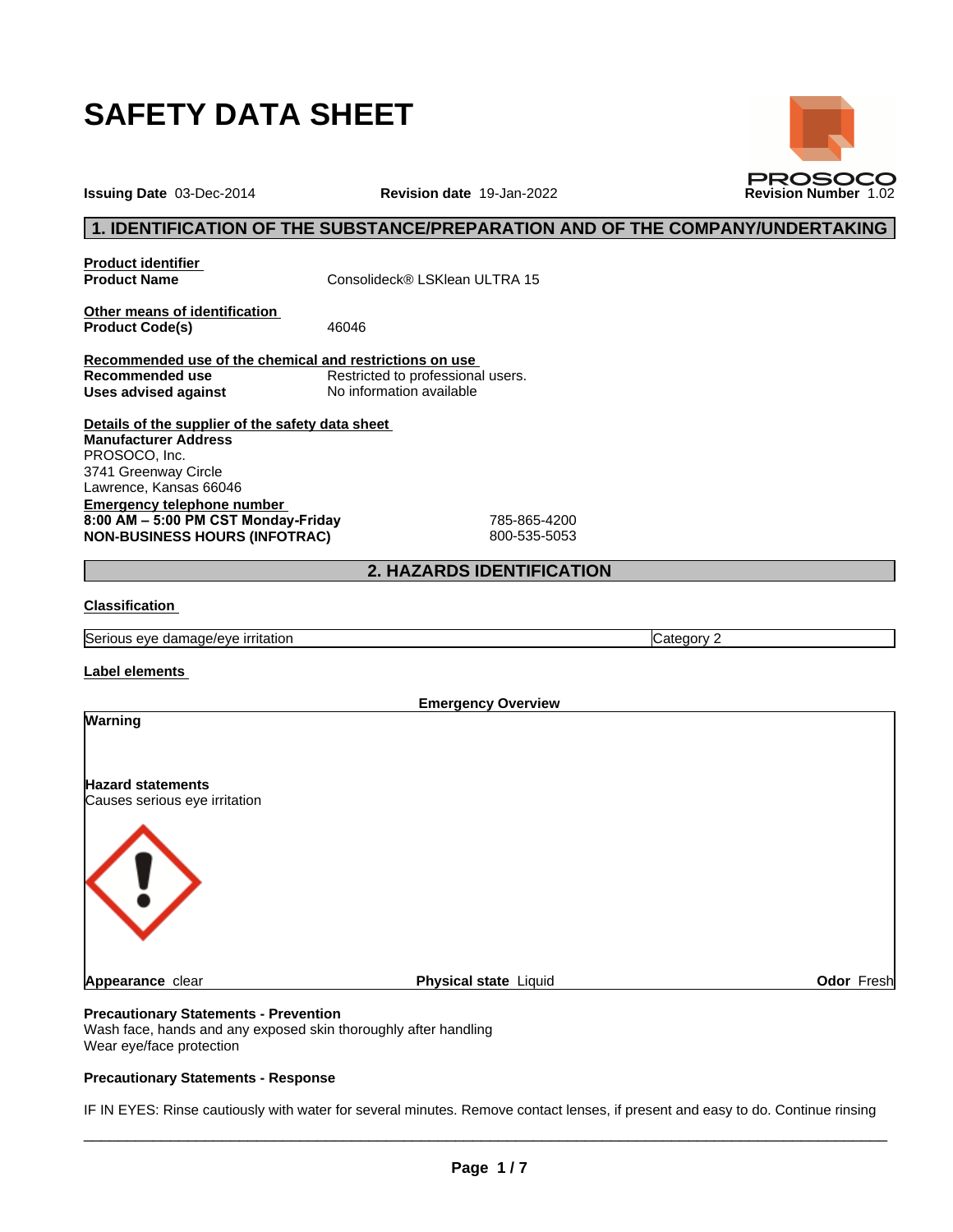

**Issuing Date** 03-Dec-2014 **Revision date** 19-Jan-2022 **Revision Number** 1.02

## **1. IDENTIFICATION OF THE SUBSTANCE/PREPARATION AND OF THE COMPANY/UNDERTAKING**

**Product identifier**

**Product Name** Consolideck® LSKlean ULTRA 15

**Other means of identification** Product Code(s) 46046

**Recommended use of the chemical and restrictions on use Restricted to professional users. Uses advised against** No information available

**Details of the supplier of the safety data sheet Emergency telephone number 8:00AM–5:00PMCSTMonday-Friday** 785-865-4200 **NON-BUSINESS HOURS (INFOTRAC)** 800-535-5053 **Manufacturer Address** PROSOCO, Inc. 3741 Greenway Circle Lawrence, Kansas 66046

## **2. HAZARDS IDENTIFICATION**

#### **Classification**

Serious eye damage/eye irritation Category 2 and Category 2

**Label elements**

| <b>Emergency Overview</b>                                 |                       |            |  |
|-----------------------------------------------------------|-----------------------|------------|--|
| Warning                                                   |                       |            |  |
| <b>Hazard statements</b><br>Causes serious eye irritation |                       |            |  |
|                                                           |                       |            |  |
| Appearance clear                                          | Physical state Liquid | Odor Fresh |  |
|                                                           |                       |            |  |

#### **Precautionary Statements - Prevention**

Wash face, hands and any exposed skin thoroughly after handling Wear eye/face protection

## **Precautionary Statements - Response**

IF IN EYES: Rinse cautiously with water for several minutes. Remove contact lenses, if present and easy to do. Continue rinsing

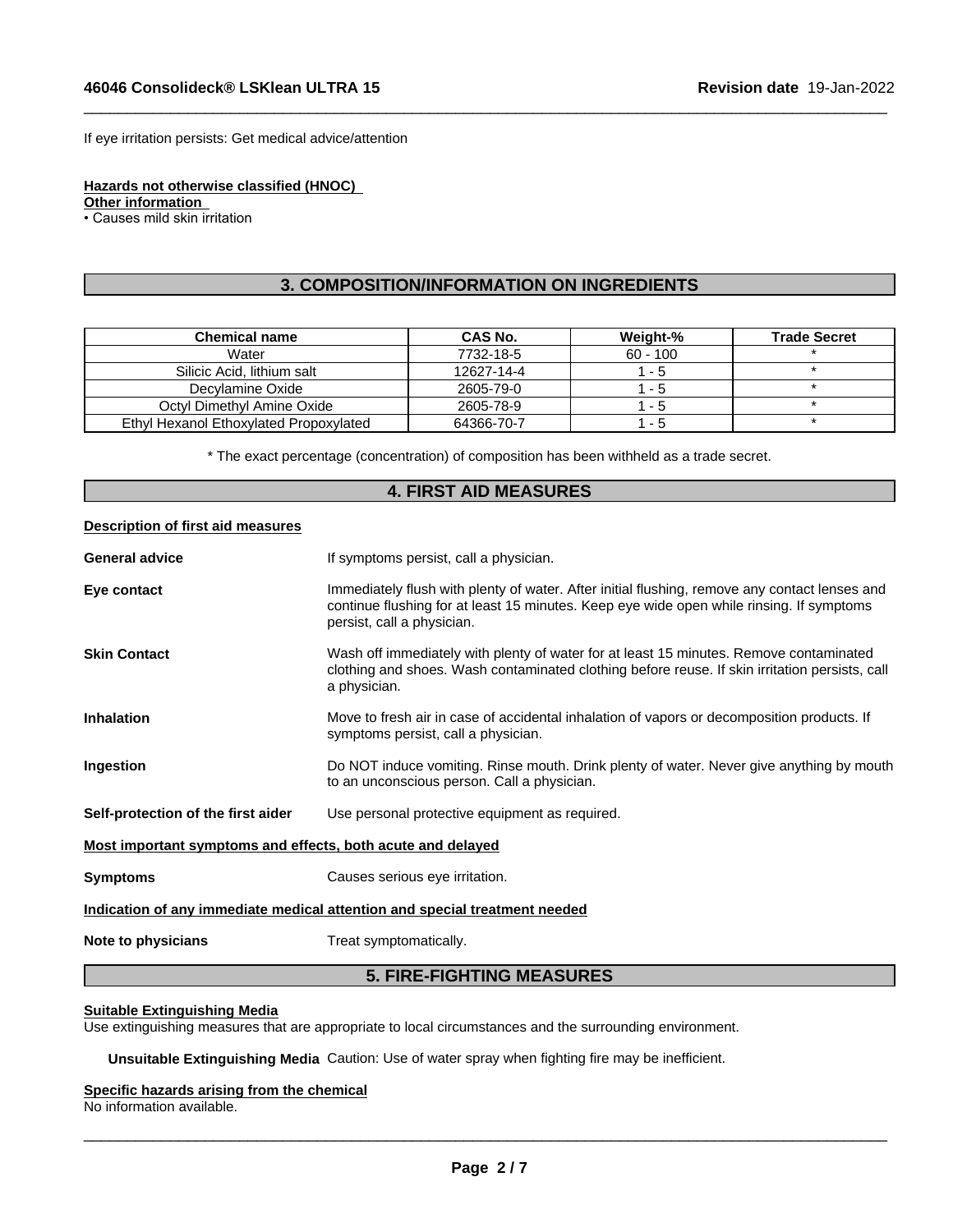If eye irritation persists: Get medical advice/attention

**Hazards not otherwise classified (HNOC)**

**Other information**

• Causes mild skin irritation

## **3. COMPOSITION/INFORMATION ON INGREDIENTS**

 $\_$  ,  $\_$  ,  $\_$  ,  $\_$  ,  $\_$  ,  $\_$  ,  $\_$  ,  $\_$  ,  $\_$  ,  $\_$  ,  $\_$  ,  $\_$  ,  $\_$  ,  $\_$  ,  $\_$  ,  $\_$  ,  $\_$  ,  $\_$  ,  $\_$  ,  $\_$  ,  $\_$  ,  $\_$  ,  $\_$  ,  $\_$  ,  $\_$  ,  $\_$  ,  $\_$  ,  $\_$  ,  $\_$  ,  $\_$  ,  $\_$  ,  $\_$  ,  $\_$  ,  $\_$  ,  $\_$  ,  $\_$  ,  $\_$  ,

| <b>Chemical name</b>                   | CAS No.    | Weight-%   | <b>Trade Secret</b> |
|----------------------------------------|------------|------------|---------------------|
| Water                                  | 7732-18-5  | $60 - 100$ |                     |
| Silicic Acid. lithium salt             | 12627-14-4 | - 5        |                     |
| Decylamine Oxide                       | 2605-79-0  | - 5        |                     |
| Octyl Dimethyl Amine Oxide             | 2605-78-9  | - 5        |                     |
| Ethyl Hexanol Ethoxylated Propoxylated | 64366-70-7 | - 5        |                     |

\* The exact percentage (concentration) ofcomposition has been withheld as a trade secret.

## **4. FIRST AID MEASURES**

#### **Description of first aid measures**

| <b>General advice</b>                                                      | If symptoms persist, call a physician.                                                                                                                                                                                  |  |  |
|----------------------------------------------------------------------------|-------------------------------------------------------------------------------------------------------------------------------------------------------------------------------------------------------------------------|--|--|
| Eye contact                                                                | Immediately flush with plenty of water. After initial flushing, remove any contact lenses and<br>continue flushing for at least 15 minutes. Keep eye wide open while rinsing. If symptoms<br>persist, call a physician. |  |  |
| <b>Skin Contact</b>                                                        | Wash off immediately with plenty of water for at least 15 minutes. Remove contaminated<br>clothing and shoes. Wash contaminated clothing before reuse. If skin irritation persists, call<br>a physician.                |  |  |
| <b>Inhalation</b>                                                          | Move to fresh air in case of accidental inhalation of vapors or decomposition products. If<br>symptoms persist, call a physician.                                                                                       |  |  |
| Ingestion                                                                  | Do NOT induce vomiting. Rinse mouth. Drink plenty of water. Never give anything by mouth<br>to an unconscious person. Call a physician.                                                                                 |  |  |
| Self-protection of the first aider                                         | Use personal protective equipment as required.                                                                                                                                                                          |  |  |
| Most important symptoms and effects, both acute and delayed                |                                                                                                                                                                                                                         |  |  |
| <b>Symptoms</b>                                                            | Causes serious eye irritation.                                                                                                                                                                                          |  |  |
| Indication of any immediate medical attention and special treatment needed |                                                                                                                                                                                                                         |  |  |
| Note to physicians                                                         | Treat symptomatically.                                                                                                                                                                                                  |  |  |

## **5. FIRE-FIGHTING MEASURES**

#### **Suitable Extinguishing Media**

Use extinguishing measures that are appropriate to local circumstances and the surrounding environment.

**Unsuitable Extinguishing Media** Caution: Use of water spray when fighting fire may be inefficient.

## **Specific hazards arising from the chemical**

No information available.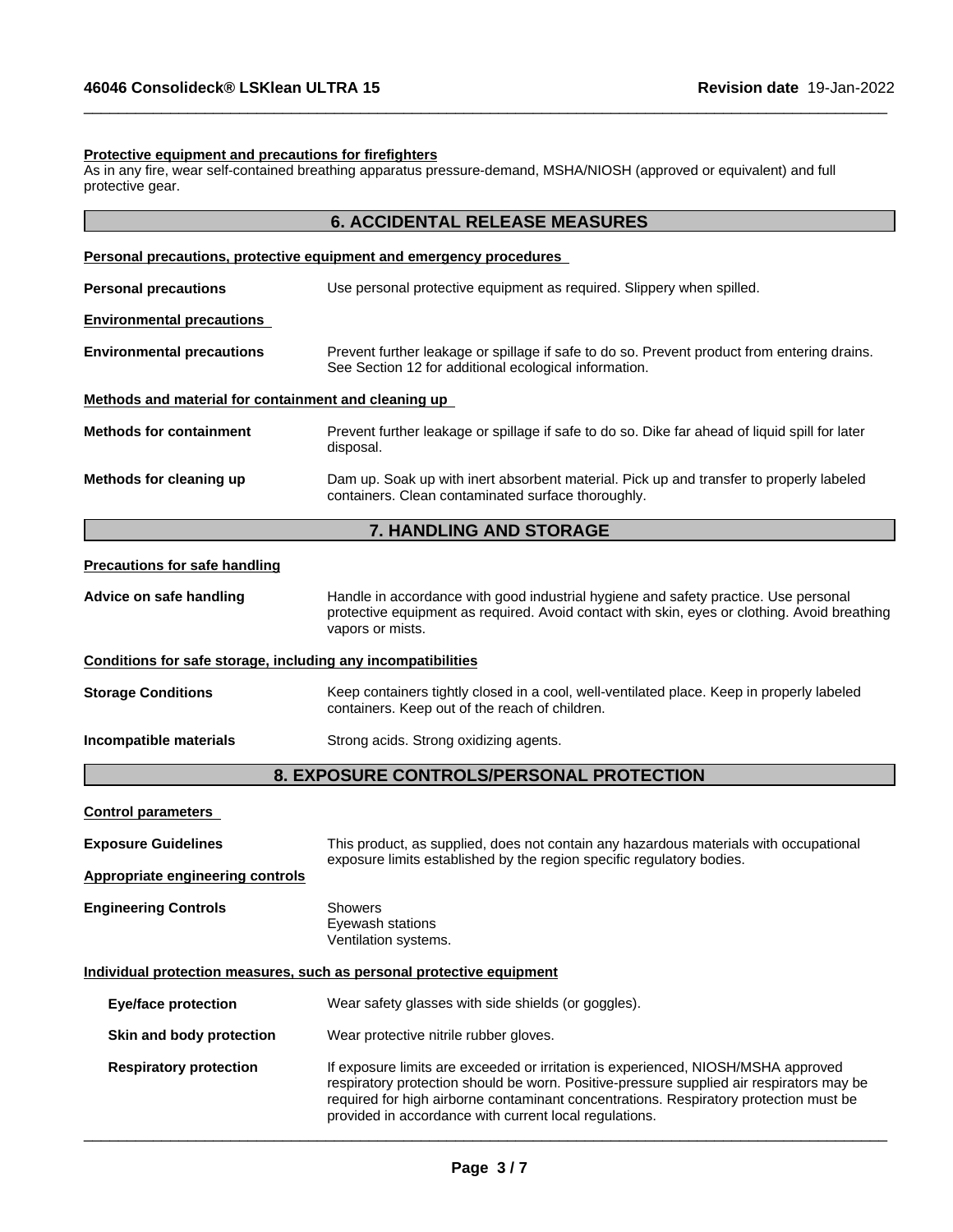#### **Protective equipment and precautions for firefighters**

As in any fire, wear self-contained breathing apparatus pressure-demand, MSHA/NIOSH (approved or equivalent) and full protective gear.

 $\_$  ,  $\_$  ,  $\_$  ,  $\_$  ,  $\_$  ,  $\_$  ,  $\_$  ,  $\_$  ,  $\_$  ,  $\_$  ,  $\_$  ,  $\_$  ,  $\_$  ,  $\_$  ,  $\_$  ,  $\_$  ,  $\_$  ,  $\_$  ,  $\_$  ,  $\_$  ,  $\_$  ,  $\_$  ,  $\_$  ,  $\_$  ,  $\_$  ,  $\_$  ,  $\_$  ,  $\_$  ,  $\_$  ,  $\_$  ,  $\_$  ,  $\_$  ,  $\_$  ,  $\_$  ,  $\_$  ,  $\_$  ,  $\_$  ,

|                                                              | <b>6. ACCIDENTAL RELEASE MEASURES</b>                                                                                                                                                                   |
|--------------------------------------------------------------|---------------------------------------------------------------------------------------------------------------------------------------------------------------------------------------------------------|
|                                                              | <b>Personal precautions, protective equipment and emergency procedures</b>                                                                                                                              |
| <b>Personal precautions</b>                                  | Use personal protective equipment as required. Slippery when spilled.                                                                                                                                   |
| <b>Environmental precautions</b>                             |                                                                                                                                                                                                         |
| <b>Environmental precautions</b>                             | Prevent further leakage or spillage if safe to do so. Prevent product from entering drains.<br>See Section 12 for additional ecological information.                                                    |
| Methods and material for containment and cleaning up         |                                                                                                                                                                                                         |
| <b>Methods for containment</b>                               | Prevent further leakage or spillage if safe to do so. Dike far ahead of liquid spill for later<br>disposal.                                                                                             |
| Methods for cleaning up                                      | Dam up. Soak up with inert absorbent material. Pick up and transfer to properly labeled<br>containers. Clean contaminated surface thoroughly.                                                           |
|                                                              | 7. HANDLING AND STORAGE                                                                                                                                                                                 |
| <b>Precautions for safe handling</b>                         |                                                                                                                                                                                                         |
| Advice on safe handling                                      | Handle in accordance with good industrial hygiene and safety practice. Use personal<br>protective equipment as required. Avoid contact with skin, eyes or clothing. Avoid breathing<br>vapors or mists. |
| Conditions for safe storage, including any incompatibilities |                                                                                                                                                                                                         |
| <b>Storage Conditions</b>                                    | Keep containers tightly closed in a cool, well-ventilated place. Keep in properly labeled<br>containers. Keep out of the reach of children.                                                             |
| Incompatible materials                                       | Strong acids. Strong oxidizing agents.                                                                                                                                                                  |
|                                                              | 8. EXPOSURE CONTROLS/PERSONAL PROTECTION                                                                                                                                                                |
| <b>Control parameters</b>                                    |                                                                                                                                                                                                         |
| $\sim$ $\sim$ $\sim$ $\sim$                                  | the contract of the contract of the contract of the contract of the contract of the contract of the contract of                                                                                         |

| This product, as supplied, does not contain any hazardous materials with occupational<br>exposure limits established by the region specific regulatory bodies.                                                                                                                                                                   |  |  |
|----------------------------------------------------------------------------------------------------------------------------------------------------------------------------------------------------------------------------------------------------------------------------------------------------------------------------------|--|--|
|                                                                                                                                                                                                                                                                                                                                  |  |  |
| <b>Showers</b><br>Eyewash stations<br>Ventilation systems.                                                                                                                                                                                                                                                                       |  |  |
| Individual protection measures, such as personal protective equipment                                                                                                                                                                                                                                                            |  |  |
| Wear safety glasses with side shields (or goggles).                                                                                                                                                                                                                                                                              |  |  |
| Wear protective nitrile rubber gloves.                                                                                                                                                                                                                                                                                           |  |  |
| If exposure limits are exceeded or irritation is experienced, NIOSH/MSHA approved<br>respiratory protection should be worn. Positive-pressure supplied air respirators may be<br>required for high airborne contaminant concentrations. Respiratory protection must be<br>provided in accordance with current local regulations. |  |  |
|                                                                                                                                                                                                                                                                                                                                  |  |  |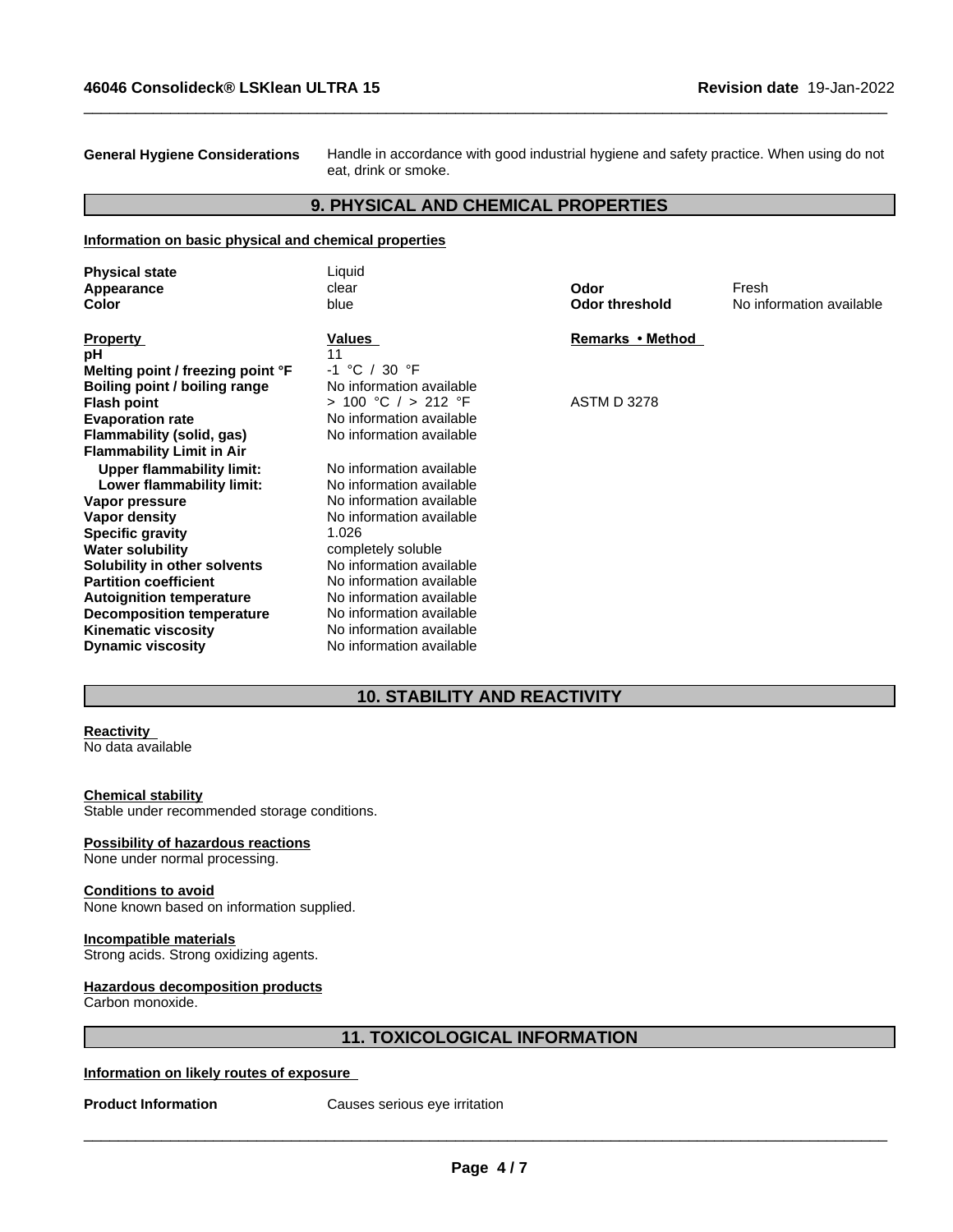**General Hygiene Considerations** Handle in accordance with good industrial hygiene and safety practice. When using do not eat, drink or smoke.

 $\_$  ,  $\_$  ,  $\_$  ,  $\_$  ,  $\_$  ,  $\_$  ,  $\_$  ,  $\_$  ,  $\_$  ,  $\_$  ,  $\_$  ,  $\_$  ,  $\_$  ,  $\_$  ,  $\_$  ,  $\_$  ,  $\_$  ,  $\_$  ,  $\_$  ,  $\_$  ,  $\_$  ,  $\_$  ,  $\_$  ,  $\_$  ,  $\_$  ,  $\_$  ,  $\_$  ,  $\_$  ,  $\_$  ,  $\_$  ,  $\_$  ,  $\_$  ,  $\_$  ,  $\_$  ,  $\_$  ,  $\_$  ,  $\_$  ,

## **9. PHYSICAL AND CHEMICAL PROPERTIES**

#### **Information on basic physical and chemical properties**

| <b>Physical state</b>             | Liquid                   |                       |                          |
|-----------------------------------|--------------------------|-----------------------|--------------------------|
| Appearance                        | clear                    | Odor                  | Fresh                    |
| Color                             | blue                     | <b>Odor threshold</b> | No information available |
| <b>Property</b>                   | Values                   | Remarks • Method      |                          |
| рH                                | 11                       |                       |                          |
| Melting point / freezing point °F | $-1$ °C / 30 °F          |                       |                          |
| Boiling point / boiling range     | No information available |                       |                          |
| <b>Flash point</b>                | > 100 °C / > 212 °F      | <b>ASTM D 3278</b>    |                          |
| <b>Evaporation rate</b>           | No information available |                       |                          |
| Flammability (solid, gas)         | No information available |                       |                          |
| <b>Flammability Limit in Air</b>  |                          |                       |                          |
| <b>Upper flammability limit:</b>  | No information available |                       |                          |
| Lower flammability limit:         | No information available |                       |                          |
| Vapor pressure                    | No information available |                       |                          |
| Vapor density                     | No information available |                       |                          |
| <b>Specific gravity</b>           | 1.026                    |                       |                          |
| <b>Water solubility</b>           | completely soluble       |                       |                          |
| Solubility in other solvents      | No information available |                       |                          |
| <b>Partition coefficient</b>      | No information available |                       |                          |
| <b>Autoignition temperature</b>   | No information available |                       |                          |
| Decomposition temperature         | No information available |                       |                          |
| <b>Kinematic viscosity</b>        | No information available |                       |                          |
| <b>Dynamic viscosity</b>          | No information available |                       |                          |
|                                   |                          |                       |                          |

## **10. STABILITY AND REACTIVITY**

## **Reactivity**

No data available

#### **Chemical stability**

Stable under recommended storage conditions.

#### **Possibility of hazardous reactions**

None under normal processing.

#### **Conditions to avoid**

None known based on information supplied.

#### **Incompatible materials**

Strong acids. Strong oxidizing agents.

#### **Hazardous decomposition products**

Carbon monoxide.

## **11. TOXICOLOGICAL INFORMATION**

#### **Information on likely routes of exposure**

**Product Information** Causes serious eye irritation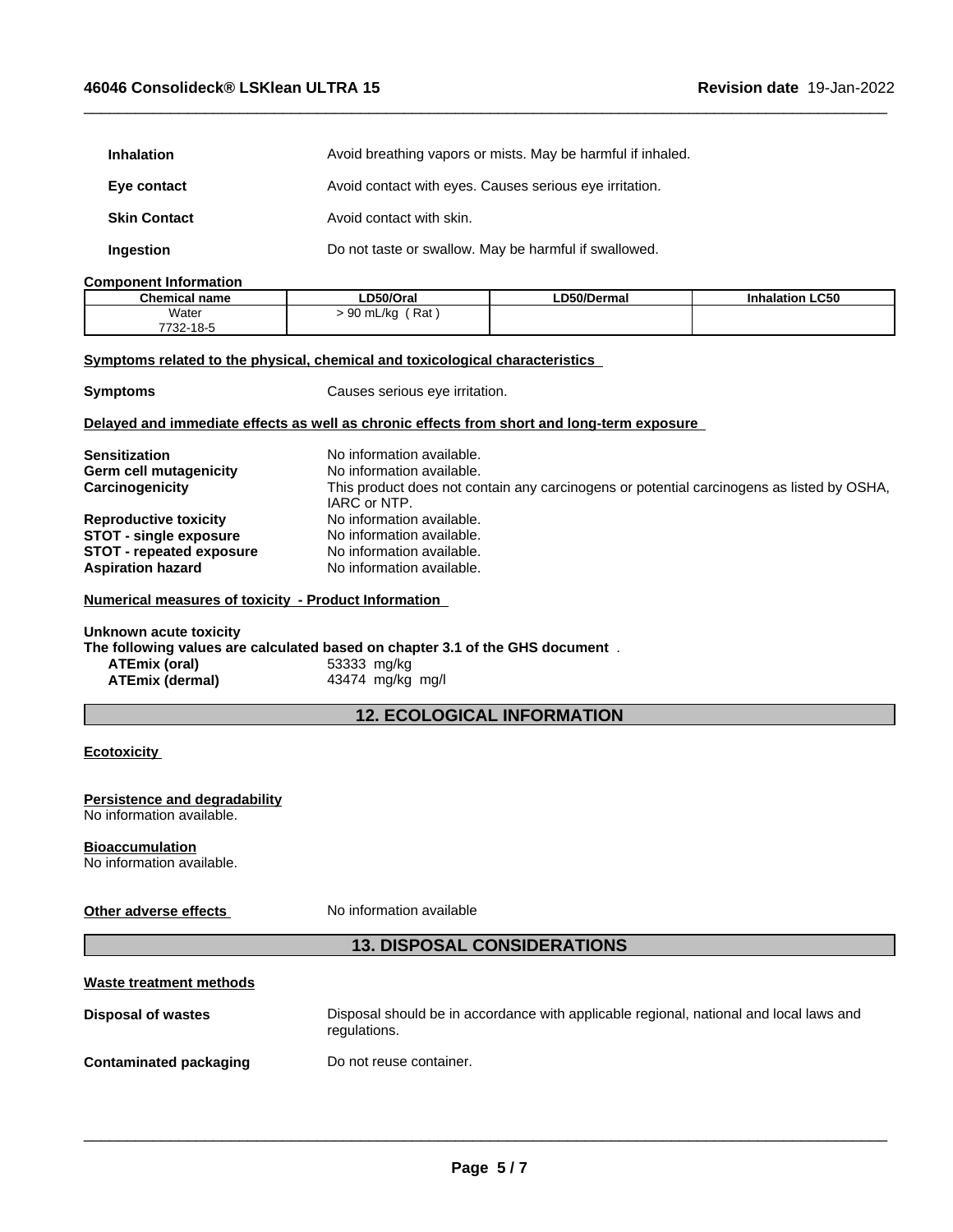| <b>Inhalation</b>   | Avoid breathing vapors or mists. May be harmful if inhaled. |  |
|---------------------|-------------------------------------------------------------|--|
| Eye contact         | Avoid contact with eyes. Causes serious eye irritation.     |  |
| <b>Skin Contact</b> | Avoid contact with skin.                                    |  |
| Ingestion           | Do not taste or swallow. May be harmful if swallowed.       |  |

### **Component Information**

| <b>Chemical name</b> | LD50/Oral                      | ∟D50/Dermal | <b>Inhalation LC50</b> |
|----------------------|--------------------------------|-------------|------------------------|
| Water                | Rat<br>$\sim$<br>) mL/kg<br>◡◡ |             |                        |
| 7732-18-5            |                                |             |                        |

 $\_$  ,  $\_$  ,  $\_$  ,  $\_$  ,  $\_$  ,  $\_$  ,  $\_$  ,  $\_$  ,  $\_$  ,  $\_$  ,  $\_$  ,  $\_$  ,  $\_$  ,  $\_$  ,  $\_$  ,  $\_$  ,  $\_$  ,  $\_$  ,  $\_$  ,  $\_$  ,  $\_$  ,  $\_$  ,  $\_$  ,  $\_$  ,  $\_$  ,  $\_$  ,  $\_$  ,  $\_$  ,  $\_$  ,  $\_$  ,  $\_$  ,  $\_$  ,  $\_$  ,  $\_$  ,  $\_$  ,  $\_$  ,  $\_$  ,

#### **<u>Symptoms related to the physical, chemical and toxicological characteristics</u>**

**Symptoms** Causes serious eye irritation.

#### **Delayed and immediate effects as well as chronic effects from short and long-term exposure**

| <b>Sensitization</b>                                        | No information available.                                                                                 |
|-------------------------------------------------------------|-----------------------------------------------------------------------------------------------------------|
| <b>Germ cell mutagenicity</b>                               | No information available.                                                                                 |
| Carcinogenicity                                             | This product does not contain any carcinogens or potential carcinogens as listed by OSHA,<br>IARC or NTP. |
| <b>Reproductive toxicity</b>                                | No information available.                                                                                 |
| <b>STOT - single exposure</b>                               | No information available.                                                                                 |
| <b>STOT</b> - repeated exposure<br><b>Aspiration hazard</b> | No information available.<br>No information available.                                                    |

#### **Numerical measures of toxicity - Product Information**

#### **Unknown acute toxicity**

**The following values are calculated based on chapter 3.1 of the GHS document** .

| ATEmix (oral)          | 53333 mg/kg      |
|------------------------|------------------|
| <b>ATEmix (dermal)</b> | 43474 mg/kg mg/l |

## **12. ECOLOGICAL INFORMATION**

### **Ecotoxicity**

#### **Persistence and degradability** No information available.

#### **Bioaccumulation** No information available.

**Other adverse effects** No information available

## **13. DISPOSAL CONSIDERATIONS**

| Waste treatment methods |                                                                                                        |
|-------------------------|--------------------------------------------------------------------------------------------------------|
| Disposal of wastes      | Disposal should be in accordance with applicable regional, national and local laws and<br>regulations. |
| Contaminated packaging  | Do not reuse container.                                                                                |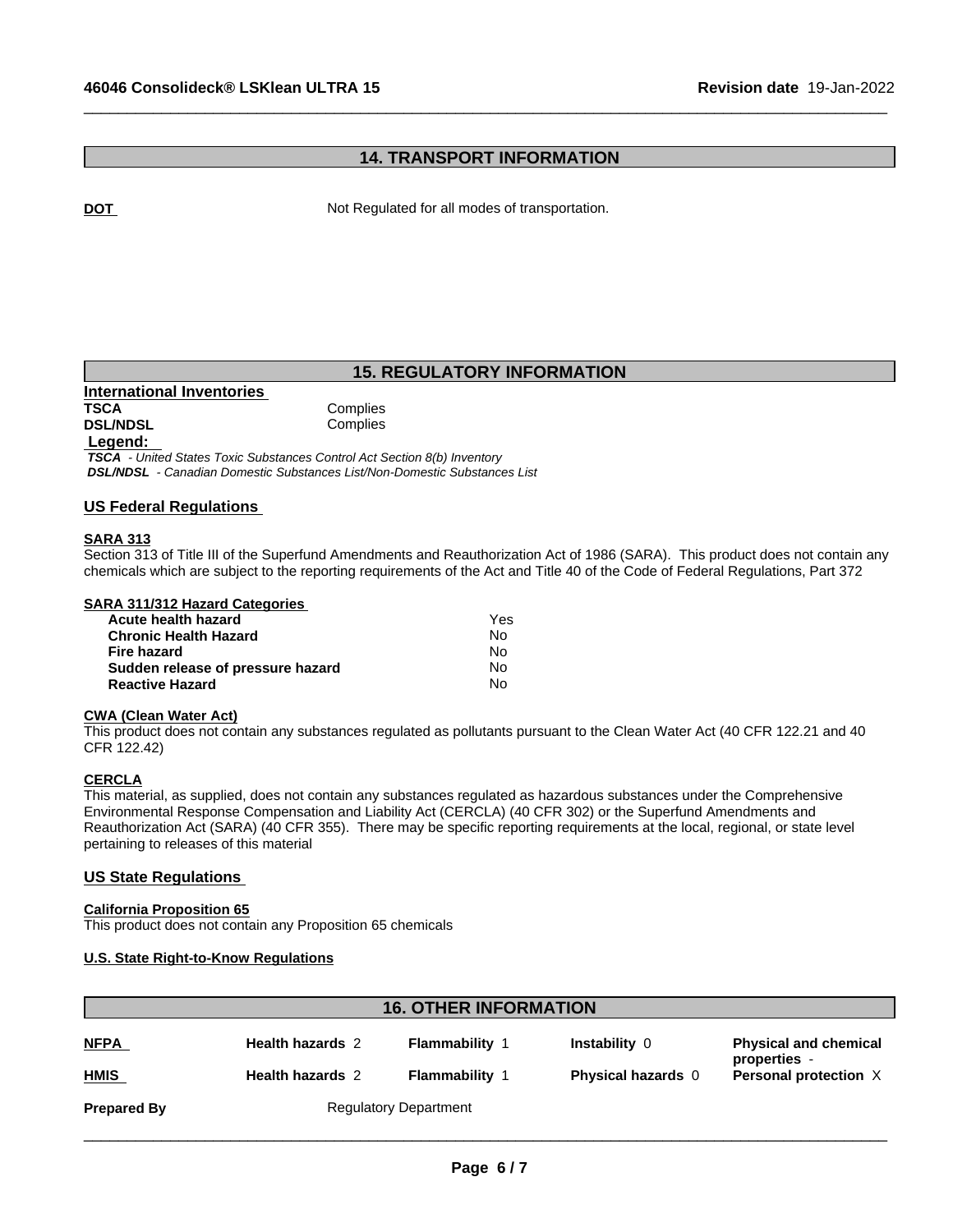## **14. TRANSPORT INFORMATION**

 $\_$  ,  $\_$  ,  $\_$  ,  $\_$  ,  $\_$  ,  $\_$  ,  $\_$  ,  $\_$  ,  $\_$  ,  $\_$  ,  $\_$  ,  $\_$  ,  $\_$  ,  $\_$  ,  $\_$  ,  $\_$  ,  $\_$  ,  $\_$  ,  $\_$  ,  $\_$  ,  $\_$  ,  $\_$  ,  $\_$  ,  $\_$  ,  $\_$  ,  $\_$  ,  $\_$  ,  $\_$  ,  $\_$  ,  $\_$  ,  $\_$  ,  $\_$  ,  $\_$  ,  $\_$  ,  $\_$  ,  $\_$  ,  $\_$  ,

**DOT Not Regulated for all modes of transportation.** 

## **15. REGULATORY INFORMATION**

| International Inventories |          |
|---------------------------|----------|
| <b>TSCA</b>               | Complies |
| <b>DSL/NDSL</b>           | Complies |
|                           |          |

#### **Legend:**

 *TSCA - United States Toxic Substances Control Act Section 8(b) Inventory DSL/NDSL - Canadian Domestic Substances List/Non-Domestic Substances List*

#### **US Federal Regulations**

### **SARA 313**

Section 313 of Title III of the Superfund Amendments and Reauthorization Act of 1986 (SARA). This product does not contain any chemicals which are subject to the reporting requirements of the Act and Title 40 of the Code of Federal Regulations, Part 372

#### **SARA 311/312 Hazard Categories**

| Acute health hazard               | Yes |
|-----------------------------------|-----|
| <b>Chronic Health Hazard</b>      | No. |
| Fire hazard                       | N٥  |
| Sudden release of pressure hazard | No. |
| <b>Reactive Hazard</b>            | N٥  |

## **CWA** (Clean Water Act)

This product does not contain any substances regulated as pollutants pursuant to the Clean Water Act (40 CFR 122.21 and 40 CFR 122.42)

#### **CERCLA**

This material, as supplied, does not contain any substances regulated as hazardous substances under the Comprehensive Environmental Response Compensation and Liability Act (CERCLA) (40 CFR 302) or the Superfund Amendments and Reauthorization Act (SARA) (40 CFR 355). There may be specific reporting requirements at the local, regional, or state level pertaining to releases of this material

#### **US State Regulations**

#### **California Proposition 65**

This product does not contain any Proposition 65 chemicals

#### **U.S. State Right-to-Know Regulations**

# **16. OTHER INFORMATION Prepared By** Regulatory Department **NFPA Health hazards** 2 **Flammability** 1 **Instability** 0 **Physical and chemical properties** - **HMIS Health hazards** 2 **Flammability** 1 **Physical hazards** 0 **Personal protection** X